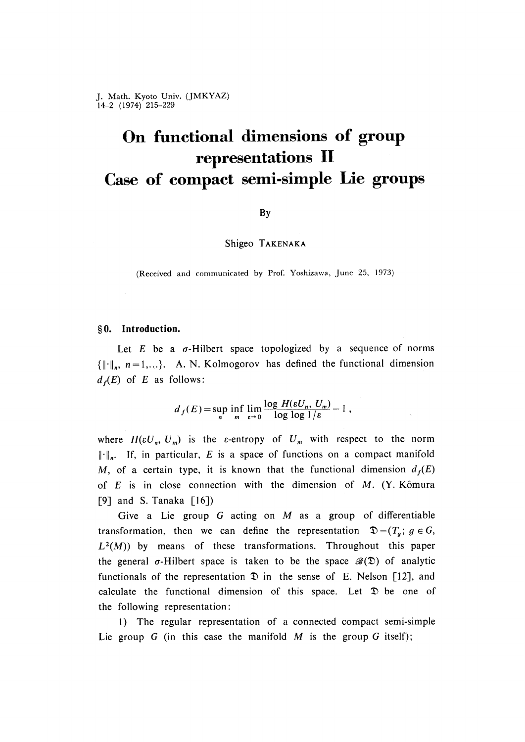# **On functional dimensions of group representations II Case of compact semi-simple Lie groups**

# By

Shigeo TAKENAKA

(Received and communicated by Prof. Yoshizawa, June 25, 1973)

# **§ 0 . Introduction.**

Let  $E$  be a  $\sigma$ -Hilbert space topologized by a sequence of norms  $\{\lVert \cdot \rVert_n, n = 1,...\}$ . A. N. Kolmogorov has defined the functional dimension  $d_f(E)$  of *E* as follows:

$$
d_f(E) = \sup_n \inf_m \lim_{\epsilon \to 0} \frac{\log H(\epsilon U_n, U_m)}{\log \log 1/\epsilon} - 1,
$$

where  $H(\varepsilon U_n, U_m)$  is the  $\varepsilon$ -entropy of  $U_m$  with respect to the norm  $\lVert \cdot \rVert_n$ . If, in particular, *E* is a space of functions on a compact manifold M, of a certain type, it is known that the functional dimension  $d_f(E)$ of *E* is in close connection with the dimension of *M*. (Y. Kômura  $[9]$  and S. Tanaka  $[16]$ )

Give a Lie group G acting on  $M$  as a group of differentiable transformation, then we can define the representation  $\mathfrak{D} = (T_g; g \in G,$  $L^2(M)$ ) by means of these transformations. Throughout this paper the general  $\sigma$ -Hilbert space is taken to be the space  $\mathscr{B}(\mathfrak{D})$  of analytic functionals of the representation  $\mathfrak D$  in the sense of E. Nelson [12], and calculate the functional dimension of this space. Let  $\mathfrak D$  be one of the following representation:

1) The regular representation of a connected compact semi-simple Lie group  $G$  (in this case the manifold  $M$  is the group  $G$  itself);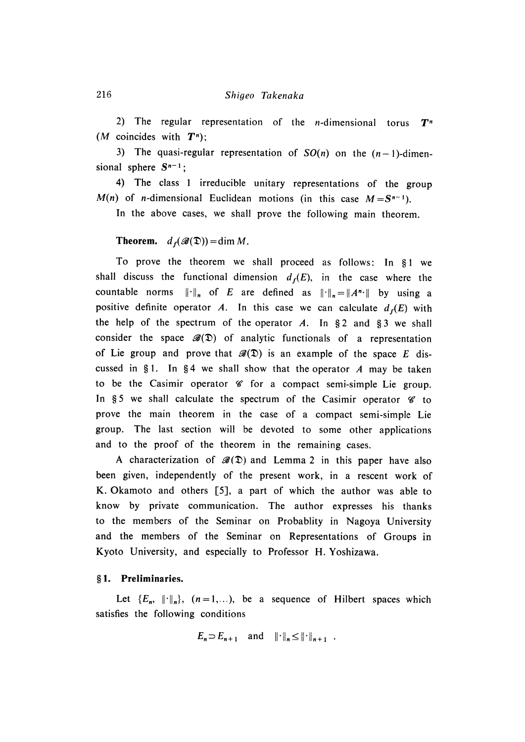2) The regular representation of the *n*-dimensional torus  $T<sup>n</sup>$ *(M* coincides with  $T^n$ )

3) The quasi-regular representation of  $SO(n)$  on the  $(n-1)$ -dimensional sphere  $S^{n-1}$ ;

4) The class 1 irreducible unitary representations of the group  $M(n)$  of *n*-dimensional Euclidean motions (in this case  $M = S^{n-1}$ )

In the above cases, we shall prove the following main theorem.

**Theorem.**  $d_f(\mathcal{B}(\mathfrak{D})) = \dim M$ .

To prove the theorem we shall proceed as follows: In §1 we shall discuss the functional dimension  $d_f(E)$ , in the case where the countable norms  $\|\cdot\|_n$  of *E* are defined as  $\|\cdot\|_n = \|A^{n}\cdot\|$  by using a positive definite operator *A*. In this case we can calculate  $d_f(E)$  with the help of the spectrum of the operator  $A$ . In § 2 and § 3 we shall consider the space  $\mathscr{B}(\mathfrak{D})$  of analytic functionals of a representation of Lie group and prove that  $\mathscr{B}(\mathfrak{D})$  is an example of the space *E* discussed in § 1. In § 4 we shall show that the operator  $A$  may be taken to be the Casimir operator  $\mathscr C$  for a compact semi-simple Lie group. In §5 we shall calculate the spectrum of the Casimir operator  $\mathscr G$  to prove the main theorem in the case of a compact semi-simple Lie group. The last section will be devoted to some other applications and to the proof of the theorem in the remaining cases.

A characterization of  $\mathscr{B}(\mathfrak{D})$  and Lemma 2 in this paper have also been given, independently of the present work, in a rescent work of K. Okamoto and others  $[5]$ , a part of which the author was able to know by private communication. The author expresses his thanks to the members of the Seminar on Probablity in Nagoya University and the members of the Seminar on Representations of Groups in Kyoto University, and especially to Professor H. Yoshizawa.

# **§ 1 . Preliminaries.**

Let  ${E_n, \| \cdot \|_n}, (n=1,...),$  be a sequence of Hilbert spaces which satisfies the following conditions

$$
E_n \supset E_{n+1} \quad \text{and} \quad \|\cdot\|_n \le \|\cdot\|_{n+1} \quad .
$$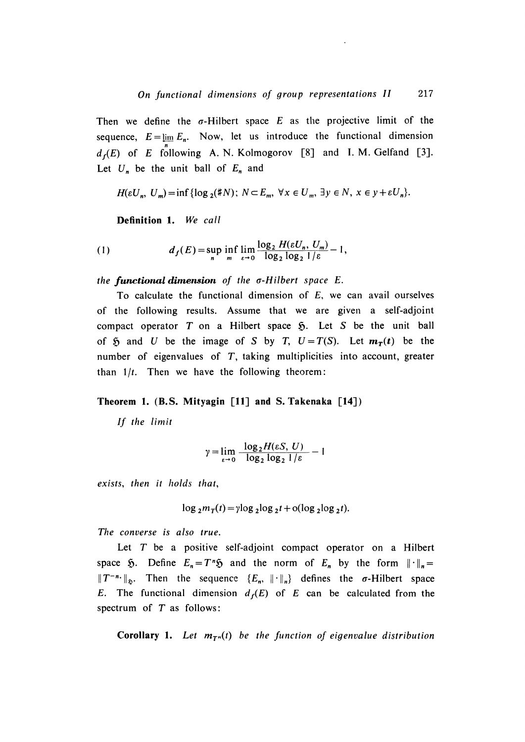Then we define the  $\sigma$ -Hilbert space E as the projective limit of the sequence,  $E = \lim_{n \to \infty} E_n$ . Now, let us introduce the functional dimension  $d_f(E)$  of *E* following A. N. Kolmogorov [8] and I. M. Gelfand [3]. Let  $U_n$  be the unit ball of  $E_n$  and

 $H(\varepsilon U_n, U_m) = \inf \{ \log_2(\sharp N) ; N \subset E_m, \forall x \in U_m, \exists y \in N, x \in y + \varepsilon U_n \}.$ 

**D efinition 1.** *W e call*

(1) 
$$
d_f(E) = \sup_n \inf_m \lim_{\varepsilon \to 0} \frac{\log_2 H(\varepsilon U_n, U_m)}{\log_2 \log_2 1/\varepsilon} - 1,
$$

*the functional dimension o f th e a-Hilbert space E.*

To calculate the functional dimension of *E*, we can avail ourselves of the following results. Assume that we are given a self-adjoint compact operator  $T$  on a Hilbert space  $\mathfrak{H}$ . Let  $S$  be the unit ball of  $\mathfrak{H}$  and *U* be the image of *S* by *T*,  $U = T(S)$ . Let  $m_T(t)$  be the number of eigenvalues of *T*, taking multiplicities into account, greater than  $1/t$ . Then we have the following theorem:

### **Theorem 1. (B.S. Mityagin [11] and S. Takenaka [14] )**

*If th e limit*

$$
\gamma = \lim_{\varepsilon \to 0} \frac{\log_2 H(\varepsilon S, U)}{\log_2 \log_2 1/\varepsilon} - 1
$$

*ex ists, then it holds that,*

$$
\log_2 m_T(t) = \gamma \log_2 \log_2 t + o(\log_2 \log_2 t).
$$

*The converse is also true.* 

Let  $T$  be a positive self-adjoint compact operator on a Hilbert space  $\tilde{p}$ . Define  $E_n = T^n \tilde{p}$  and the norm of  $E_n$  by the form  $||\cdot||_n =$  $T^{-n}$   $\|$ <sub> $\Phi$ </sub>. Then the sequence  $\{E_n, \|\cdot\|_n\}$  defines the  $\sigma$ -Hilbert space *E*. The functional dimension  $d_f(E)$  of *E* can be calculated from the spectrum of  $T$  as follows:

**Corollary 1.** Let  $m_{T^n}(t)$  be the function of eigenvalue distribution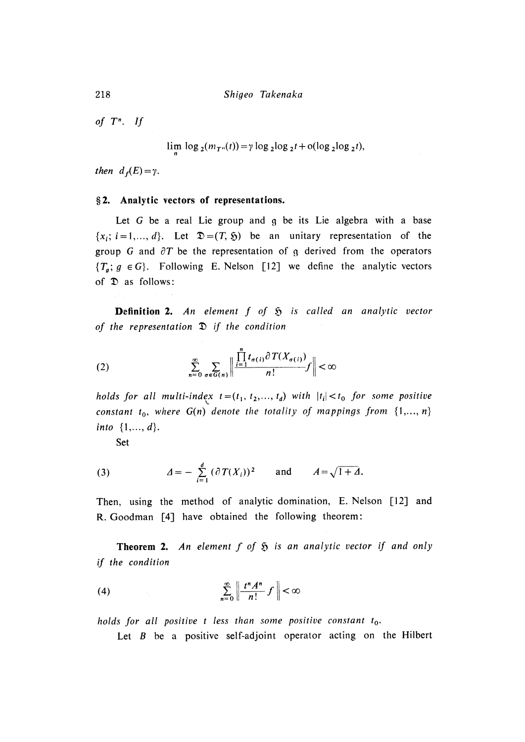*o f T <sup>n</sup> . If*

 $\lim_{n \to \infty} \log_2(m_{T^n}(t)) = \gamma \log_2 \log_2 t + o(\log_2 \log_2 t),$ 

*then*  $d_f(E) = \gamma$ .

#### **§ 2 . Analytic vectors o f representations.**

Let G be a real Lie group and g be its Lie algebra with a base  ${x_i; i = 1,..., d}$ . Let  $\mathfrak{D} = (T, \mathfrak{H})$  be an unitary representation of the group G and  $\partial T$  be the representation of g derived from the operators  ${T_a; g \in G}$ . Following E. Nelson [12] we define the analytic vectors of  $\mathfrak D$  as follows:

**Definition 2.** An element  $f$  of  $\mathfrak H$  is called an analytic vector *o f the representation I) if the condition*

$$
(2) \qquad \qquad \sum_{n=0}^{\infty} \sum_{\sigma \in G(n)} \left\| \frac{\prod_{i=1}^{n} t_{\sigma(i)} \partial T(X_{\sigma(i)})}{n!} f \right\| < \infty
$$

holds for all multi-index  $t = (t_1, t_2, ..., t_d)$  with  $|t_i| < t_0$  for some positive *constant*  $t_0$ *, where*  $G(n)$  *denote the totality of mappings from*  $\{1,..., n\}$ *into { 1,...,* d}.

Set

(3) 
$$
\Delta = - \sum_{i=1}^{d} (\partial T(X_i))^2 \quad \text{and} \quad A = \sqrt{1 + \Delta}.
$$

Then, using the method of analytic domination, E. Nelson  $\lceil 12 \rceil$  and R. Goodman [4] have obtained the following theorem:

**Theorem 2 .** *A n elem ent f of is an analy tic v ector if an d only if the condition*

$$
(4) \qquad \qquad \sum_{n=0}^{\infty} \left\| \frac{t^n A^n}{n!} f \right\| < \infty
$$

*holds f o r all positiv e t less than som e positiv e constant t <sup>o</sup> .*

Let  $B$  be a positive self-adjoint operator acting on the Hilbert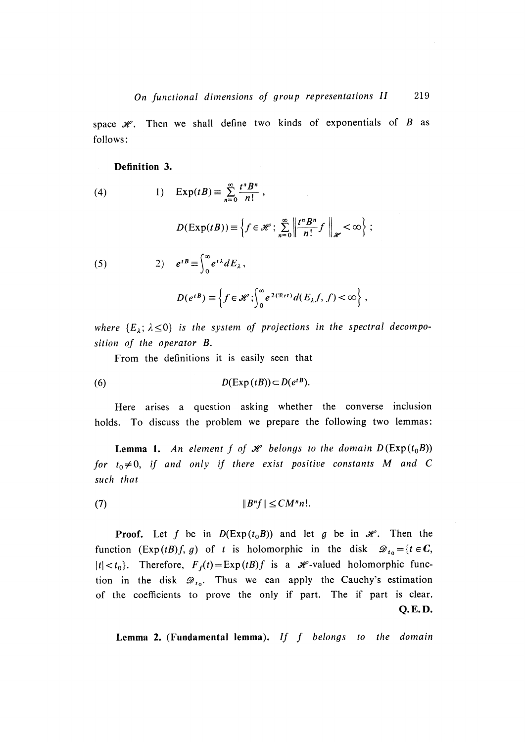space  $\mathcal{H}$ . Then we shall define two kinds of exponentials of *B* as follows :

### **Definition 3.**

(4) 1)  $\exp(tB) = \sum_{n=0}^{\infty} \frac{t^n B^n}{n!}$ 

$$
D(\mathrm{Exp}(tB)) \equiv \left\{ f \in \mathcal{H} : \sum_{n=0}^{\infty} \left\| \frac{t^n B^n}{n!} f \right\|_{\mathcal{H}} < \infty \right\} ;
$$

(5)  $e^{tB} \equiv \int_0^1 e^{tA} dE_\lambda$ 

$$
D(e^{tB}) \equiv \left\{ f \in \mathscr{H}; \int_0^\infty e^{2(\Re\epsilon t)} d(E_\lambda f, f) < \infty \right\},\,
$$

*where*  ${E_\lambda; \lambda \leq 0}$  *is the system of projections in the spectral decomposition o f th e operator B.*

From the definitions it is easily seen that

(6) 
$$
D(\text{Exp}(tB)) \subset D(e^{tB}).
$$

Here arises a question asking whether the converse inclusion holds. To discuss the problem we prepare the following two lemmas:

**Lemma 1.** An element  $f$  of  $\mathcal{H}$  belongs to the domain  $D(\text{Exp}(t_0B))$ for  $t_0 \neq 0$ , if and only if there exist positive constants M and C *such that*

 $||B^n f|| \leq CM^n n!$ . ( 7 )

**Proof.** Let f be in  $D(\text{Exp}(t_0B))$  and let g be in  $\mathcal{H}$ . Then the function  $(\text{Exp}(t) f, g)$  of t is holomorphic in the disk  $\mathcal{D}_{t_0} = \{t \in \mathbb{C},$  $|t| < t_0$ . Therefore,  $F_f(t) = \text{Exp}(t) f$  is a  $\mathcal{H}$ -valued holomorphic function in the disk  $\mathscr{D}_{t_0}$ . Thus we can apply the Cauchy's estimation of the coefficients to prove the only if part. The if part is clear. **Q.E.D.**

**Lemma 2 . (Fundamental lemma).** *I f f b e lo n g s to t h e domain*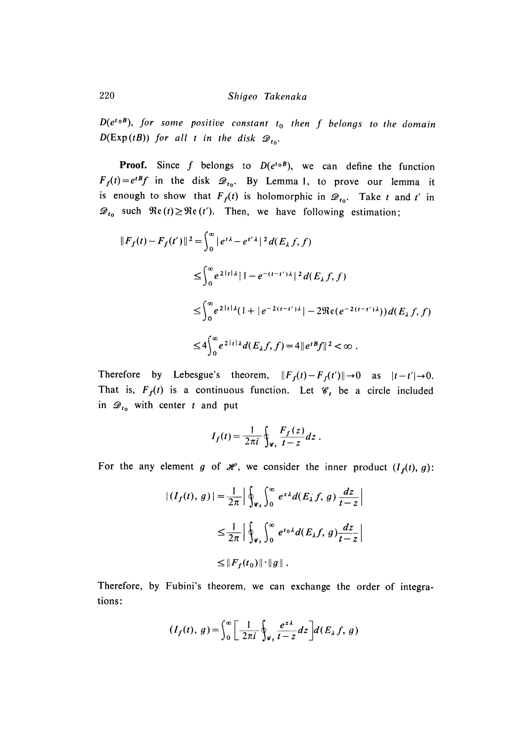*D*( $e^{t_0B}$ ), for some positive constant  $t_0$  then f belongs to the domain *D*(Exp(*tB*)) *for all t in the disk*  $\mathcal{D}_{t_0}$ .

**Proof.** Since f belongs to  $D(e^{t_0 B})$ , we can define the function  $F_f(t) = e^{tB}f$  in the disk  $\mathcal{D}_{t_0}$ . By Lemma 1, to prove our lemma it is enough to show that  $F_f(t)$  is holomorphic in  $\mathcal{D}_{t_0}$ . Take *t* and *t'* in  $\mathcal{D}_{t_0}$  such  $\Re$ e (*t*)  $\geq \Re$ e (*t'*). Then, we have following estimation;

$$
||F_f(t) - F_f(t')||^2 = \int_0^\infty |e^{t\lambda} - e^{t'\lambda}|^2 d(E_\lambda f, f)
$$
  
\n
$$
\leq \int_0^\infty e^{2|t|\lambda|} |1 - e^{-(t-t')\lambda}|^2 d(E_\lambda f, f)
$$
  
\n
$$
\leq \int_0^\infty e^{2|t|\lambda} (1 + |e^{-2(t-t')\lambda}| - 2\Re(e^{-2(t-t')\lambda})) d(E_\lambda f, f)
$$
  
\n
$$
\leq 4 \int_0^\infty e^{2|t|\lambda} d(E_\lambda f, f) = 4 ||e^{tB}f||^2 < \infty.
$$

Therefore by Lebesgue's theorem,  $||F_f(t) - F_f(t')|| \rightarrow 0$  as  $|t - t'| \rightarrow 0$ . That is,  $F_f(t)$  is a continuous function. Let  $\mathcal{C}_t$  be a circle included in  $\mathcal{D}_{t_0}$  with center *t* and put

$$
I_f(t) = \frac{1}{2\pi i} \oint_{\mathscr{C}_t} \frac{F_f(z)}{t - z} dz.
$$

For the any element *g* of  $\mathcal{H}$ , we consider the inner product  $(I_f(t), g)$ :

$$
\begin{aligned} |(I_f(t), g)| &= \frac{1}{2\pi} \left| \oint_{\mathscr{C}_t} \int_0^\infty e^{z\lambda} d(E_\lambda f, g) \frac{dz}{t - z} \right| \\ &\le \frac{1}{2\pi} \left| \oint_{\mathscr{C}_t} \int_0^\infty e^{t \alpha \lambda} d(E_\lambda f, g) \frac{dz}{t - z} \right| \\ &\le \|F_f(t_0)\| \cdot \|g\| \, . \end{aligned}
$$

Therefore, by Fubini's theorem, we can exchange the order of integrations:

$$
(I_f(t), g) = \int_0^\infty \left[ \frac{1}{2\pi i} \oint_{\varphi_t} \frac{e^{z\lambda}}{t - z} dz \right] d(E_\lambda f, g)
$$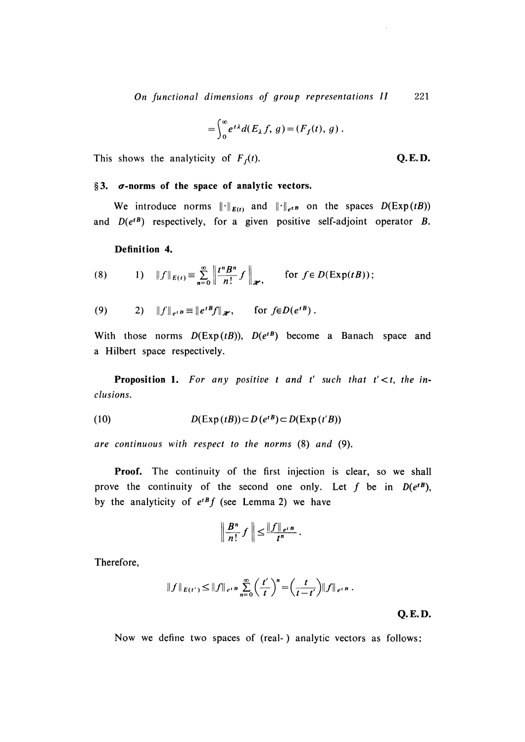*On f unctional dim ensions of group representations II* 221

$$
= \int_0^\infty e^{t\lambda} d(E_\lambda f, g) = (F_f(t), g).
$$

This shows the analyticity of  $F_f(t)$ . **Q.E.D.** 

### §3.  $\sigma$ *-norms* of the space of analytic vectors.

We introduce norms  $\|\cdot\|_{E(t)}$  and  $\|\cdot\|_{e^{tB}}$  on the spaces  $D(\text{Exp}(tB))$ and  $D(e^{tB})$  respectively, for a given positive self-adjoint operator *B*.

# **Definition 4.**

(8) 
$$
1) \|f\|_{E(t)} \equiv \sum_{n=0}^{\infty} \left\| \frac{t^n B^n}{n!} f \right\|_{\mathscr{H}}, \quad \text{for } f \in D(\text{Exp}(tB));
$$

(9) 
$$
\|f\|_{e^{tB}} \equiv \|e^{tB}f\|_{\mathscr{H}}, \quad \text{for } f \in D(e^{tB}).
$$

With those norms  $D(\text{Exp}(tB))$ ,  $D(e^{tB})$  become a Banach space and a Hilbert space respectively.

**Proposition 1.** For any positive t and t' such that  $t' < t$ , the in*clusions.*

(10) 
$$
D(\text{Exp}(tB)) \subset D(e^{tB}) \subset D(\text{Exp}(t'B))
$$

*are continuous w ith respect to th e norm s* (8 ) *an d* (9).

**Proof.** The continuity of the first injection is clear, so we shall prove the continuity of the second one only. Let  $f$  be in  $D(e^{tB})$ , by the analyticity of  $e^{tB}f$  (see Lemma 2) we have

$$
\left\|\frac{B^n}{n!}f\right\|\leq \frac{\|f\|_{e^{tB}}}{t^n}.
$$

Therefore,

$$
||f||_{E(t')} \leq ||f||_{e^{tB}} \sum_{n=0}^{\infty} \left(\frac{t'}{t}\right)^n = \left(\frac{t}{t-t'}\right) ||f||_{e^{tB}}.
$$

**Q. E. D.**

Now we define two spaces of (real-) analytic vectors as follows: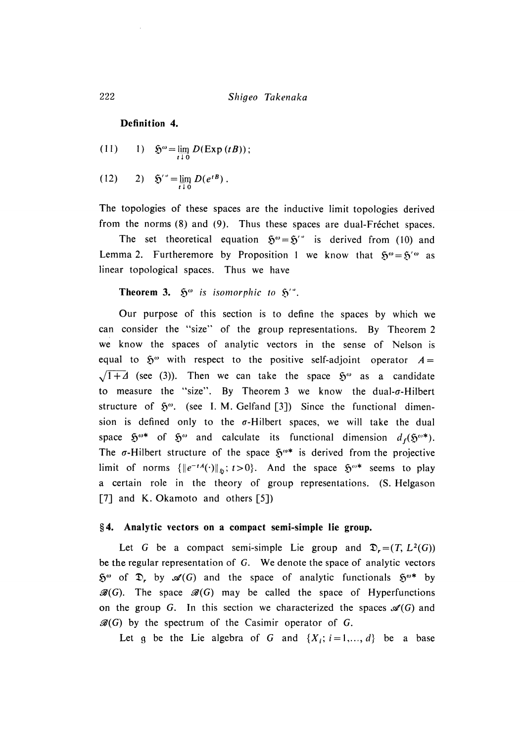**Definition 4.**

(11) 1) 
$$
\mathfrak{H}^{\omega} = \lim_{t \to 0} D(\text{Exp}(tB));
$$

(12) 2)  $\mathfrak{H}^{\prime\,0} = \lim_{t \downarrow 0} D(e^{tB})$ .

**The** topologies of these spaces are the inductive limit topologies derived from the norms  $(8)$  and  $(9)$ . Thus these spaces are dual-Fréchet spaces.

The set theoretical equation  $\mathfrak{H}^{\omega} = \mathfrak{H}^{\omega}$  is derived from (10) and Lemma 2. Furtheremore by Proposition 1 we know that  $5^{\omega} = 5'^{\omega}$  as linear topological spaces. Thus we have

**Theorem 3.**  $\mathfrak{H}^{\omega}$  *is isomorphic to*  $\mathfrak{H}^{\prime\omega}$ .

Our purpose of this section is to define the spaces by which we can consider the "size" of the group representations. By Theorem 2 we know the spaces of analytic vectors in the sense of Nelson is equal to  $\mathfrak{H}^{\omega}$  with respect to the positive self-adjoint operator  $A =$  $\sqrt{1 + \Delta}$  (see (3)). Then we can take the space  $\mathfrak{H}^{\omega}$  as a candidate to measure the "size". By Theorem 3 we know the dual- $\sigma$ -Hilbert structure of  $\mathfrak{H}^{\omega}$ . (see I. M. Gelfand [3]) Since the functional dimension is defined only to the  $\sigma$ -Hilbert spaces, we will take the dual space  $\mathfrak{H}^{\omega*}$  of  $\mathfrak{H}^{\omega}$  and calculate its functional dimension  $d_f(\mathfrak{H}^{\omega*})$ . The  $\sigma$ -Hilbert structure of the space  $5^{\omega*}$  is derived from the projective limit of norms  $\{\|e^{-tA}(\cdot)\|_{\mathfrak{D}}; t>0\}$ . And the space  $\mathfrak{H}^{\omega*}$  seems to play a certain role in the theory of group representations. (S. Helgason [7] and K. Okamoto and others  $[5]$ ]

#### **§4. Analytic vectors on a compact semi-simple lie group.**

Let *G* be a compact semi-simple Lie group and  $\mathfrak{D}_r = (T, L^2(G))$ be the regular representation of G. We denote the space of analytic vectors  $\mathfrak{H}^{\omega}$  of  $\mathfrak{D}$ , by  $\mathscr{A}(G)$  and the space of analytic functionals  $\mathfrak{H}^{\omega*}$  by  $\mathscr{B}(G)$ . The space  $\mathscr{B}(G)$  may be called the space of Hyperfunctions on the group *G*. In this section we characterized the spaces  $\mathcal{A}(G)$  and  $\mathscr{B}(G)$  by the spectrum of the Casimir operator of *G*.

Let g be the Lie algebra of G and  $\{X_i; i=1,\ldots,d\}$  be a base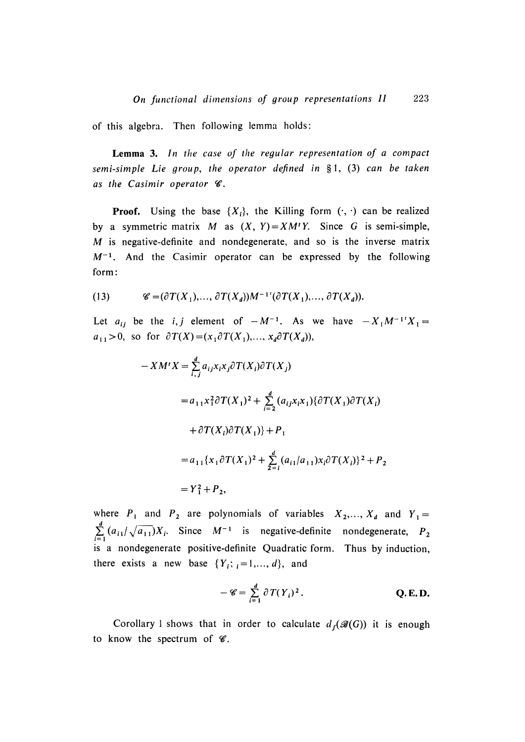of this algebra. Then following lemma holds:

**Lemma 3.** *I n the case o f the regular representation of a compact* semi-simple Lie group, the operator defined in §1, (3) can be taken *as the Casim ir operator W .*

**Proof.** Using the base  $\{X_i\}$ , the Killing form  $(\cdot, \cdot)$  can be realized by a symmetric matrix M as  $(X, Y) = XM'Y$ . Since G is semi-simple,  $M$  is negative-definite and nondegenerate, and so is the inverse matrix  $M^{-1}$ . And the Casimir operator can be expressed by the following form:

(13) 
$$
\mathscr{C} = (\partial T(X_1), \ldots, \partial T(X_d))M^{-1}(\partial T(X_1), \ldots, \partial T(X_d)).
$$

Let  $a_{ij}$  be the *i*, *j* element of  $-M^{-1}$ . As we have  $-X_1M^{-1}X_1 =$  $a_{11} > 0$ , so for  $\partial T(X) = (x_1 \partial T(X_1), \dots, x_d \partial T(X_d))$ ,

$$
-XM'X = \sum_{i,j}^{d} a_{ij}x_ix_j\partial T(X_i)\partial T(X_j)
$$
  
\n
$$
= a_{11}x_1^2\partial T(X_1)^2 + \sum_{i=2}^{d} (a_{ij}x_ix_i)\partial T(X_i)\partial T(X_i)
$$
  
\n
$$
+ \partial T(X_i)\partial T(X_1)\} + P_1
$$
  
\n
$$
= a_{11}\{x_1\partial T(X_1)^2 + \sum_{i=1}^{d} (a_{i1}/a_{11})x_i\partial T(X_i)\}^2 + P_2
$$
  
\n
$$
= Y_1^2 + P_2,
$$

where  $P_1$  and  $P_2$  are polynomials of variables  $X_2, ..., X_d$  and  $Y_1 =$  $\sum_{i=1}^{d} (a_{i1}/\sqrt{a_{11}})X_i$ . Since  $M^{-1}$  is negative-definite nondegenerate,  $P_2$ is a nondegenerate positive-definite Quadratic form. Thus by induction, there exists a new base  $\{Y_i; i = 1, ..., d\}$ , and

$$
-\mathscr{C}=\sum_{i=1}^d\partial T(Y_i)^2.
$$
 Q.E.D.

Corollary 1 shows that in order to calculate  $d_f(\mathscr{B}(G))$  it is enough to know the spectrum of  $\mathscr{C}$ .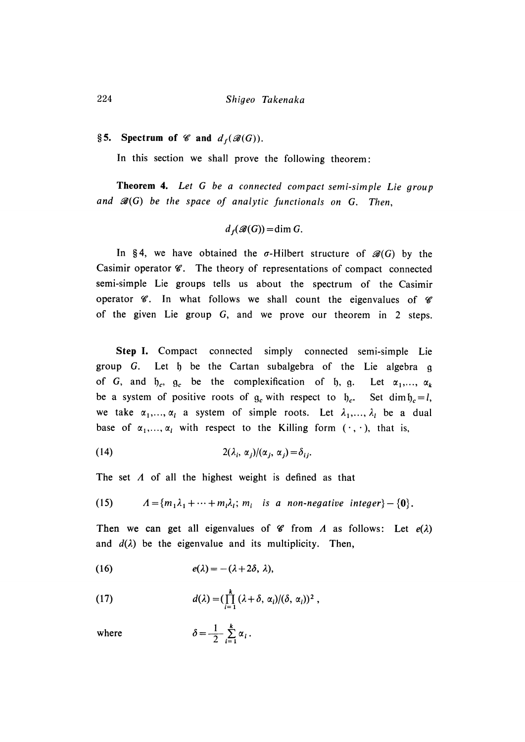# §5. Spectrum of  $\mathscr{C}$  and  $d_f(\mathscr{B}(G))$ .

In this section we shall prove the following theorem:

**Theorem 4.** *L e t G b e a connected compact semi-simple Lie group and*  $\mathscr{B}(G)$  *be the space of analytic functionals on G. Then,* 

$$
d_f(\mathcal{B}(G)) = \dim G.
$$

In §4, we have obtained the  $\sigma$ -Hilbert structure of  $\mathcal{B}(G)$  by the Casimir operator  $\mathscr{C}$ . The theory of representations of compact connected semi-simple Lie groups tells us about the spectrum of the Casimir operator  $\mathscr C$ . In what follows we shall count the eigenvalues of  $\mathscr C$ of the given Lie group G, and we prove our theorem in 2 steps.

Step I. Compact connected simply connected semi-simple Lie group G. Let h be the Cartan subalgebra of the Lie algebra g of *G*, and  $\mathfrak{h}_c$ ,  $\mathfrak{g}_c$  be the complexification of  $\mathfrak{h}$ ,  $\mathfrak{g}$ . Let  $\alpha_1, \ldots, \alpha_k$ be a system of positive roots of  $g_c$  with respect to  $f_c$ . Set dim  $f_c = l$ , we take  $\alpha_1, \ldots, \alpha_l$  a system of simple roots. Let  $\lambda_1, \ldots, \lambda_l$  be a dual base of  $\alpha_1, \ldots, \alpha_l$  with respect to the Killing form  $(\cdot, \cdot)$ , that is,

(14) 
$$
2(\lambda_i, \alpha_j) / (\alpha_j, \alpha_j) = \delta_{ij}
$$

The set  $\Lambda$  of all the highest weight is defined as that

(15) 
$$
\Lambda = \{m_1\lambda_1 + \cdots + m_l\lambda_l; m_i \text{ is a non-negative integer}\} - \{0\}.
$$

Then we can get all eigenvalues of  $\mathscr{C}$  from *A* as follows: Let  $e(\lambda)$ and  $d(\lambda)$  be the eigenvalue and its multiplicity. Then,

(16) 
$$
e(\lambda) = -(\lambda + 2\delta, \lambda),
$$

(17) 
$$
d(\lambda) = (\prod_{i=1}^k (\lambda + \delta, \alpha_i)/(\delta, \alpha_i))^2,
$$

 $\delta$ 

where

$$
=\frac{1}{2}\sum_{i=1}^k\alpha_i.
$$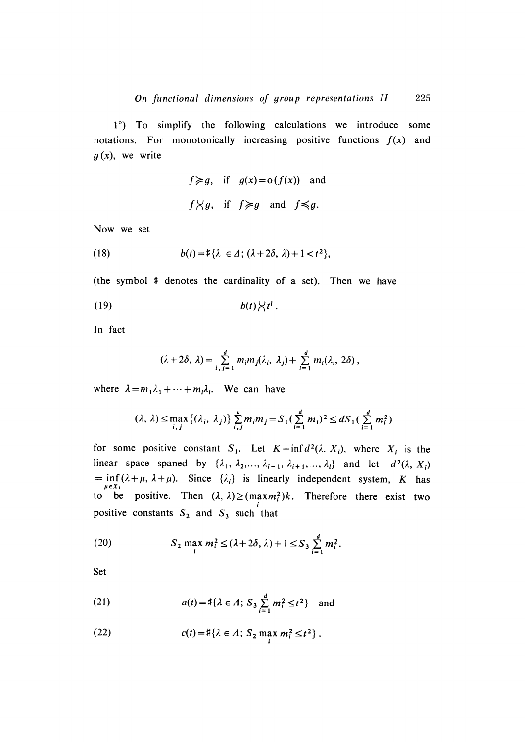$1^\circ$ ) To simplify the following calculations we introduce some notations. For monotonically increasing positive functions  $f(x)$  and  $g(x)$ , we write

$$
f \ge g
$$
, if  $g(x) = o(f(x))$  and  
 $f \ge g$ , if  $f \ge g$  and  $f \le g$ .

Now we set

(18) 
$$
b(t) = \#\{\lambda \in \Delta \,;\, (\lambda + 2\delta, \lambda) + 1 < t^2\},
$$

(the symbol  $\#$  denotes the cardinality of a set). Then we have

$$
(19) \t\t b(t)\big\langle t^l.
$$

In fact

$$
(\lambda+2\delta, \lambda)=\sum_{i,j=1}^d m_i m_j(\lambda_i, \lambda_j)+\sum_{i=1}^d m_i(\lambda_i, 2\delta),
$$

where  $\lambda = m_1 \lambda_1 + \cdots + m_l \lambda_l$ . We can have

$$
(\lambda, \lambda) \le \max_{i,j} \{ (\lambda_i, \lambda_j) \} \sum_{i,j}^{d} m_i m_j = S_1 (\sum_{i=1}^{d} m_i)^2 \le d S_1 (\sum_{i=1}^{d} m_i^2)
$$

for some positive constant  $S_1$ . Let  $K = \inf d^2(\lambda, X_i)$ , where  $X_i$  is the linear space spaned by  $\{\lambda_1, \lambda_2, ..., \lambda_{i-1}, \lambda_{i+1}, ..., \lambda_l\}$  and let  $d^2(\lambda, X_i)$  $=$  inf  $(\lambda + \mu, \lambda + \mu)$ . Since  $\{\lambda_i\}$  is linearly independent system, *K* has to be positive. Then  $(\lambda, \lambda) \ge (max m_i^2)k$ . Therefore there exist two positive constants  $S_2$  and  $S_3$  such that

(20) 
$$
S_2 \max_i m_i^2 \le (\lambda + 2\delta, \lambda) + 1 \le S_3 \sum_{i=1}^d m_i^2.
$$

Set

(21) 
$$
a(t) = \#\{\lambda \in \Lambda; S_3 \sum_{i=1}^d m_i^2 \le t^2\} \text{ and}
$$

(22) 
$$
c(t) = \#\{\lambda \in \Lambda : S_2 \max_i m_i^2 \le t^2\}.
$$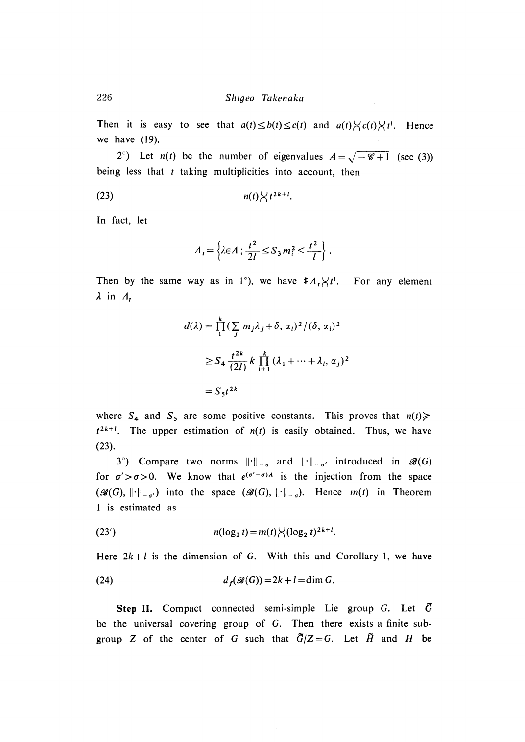Then it is easy to see that  $a(t) \leq b(t) \leq c(t)$  and  $a(t) \leq c(t) \leq t^t$ . Hence we have  $(19)$ .

2°) Let *n(t)* be the number of eigenvalues  $A = \sqrt{-\mathcal{C}+1}$  (see (3)) being less that *t* taking multiplicities into account, then

$$
n(t) \bigvee t^{2k+1}.
$$

In fact, let

$$
A_t = \left\{ \lambda \in A : \frac{t^2}{2l} \le S_3 m_i^2 \le \frac{t^2}{l} \right\}.
$$

Then by the same way as in 1°), we have  $#A_t \times t^l$ . For any element *A in A,*

$$
d(\lambda) = \prod_{1}^{k} \left( \sum_{j} m_{j} \lambda_{j} + \delta, \alpha_{i} \right)^{2} / (\delta, \alpha_{i})^{2}
$$
  

$$
\geq S_{4} \frac{t^{2k}}{(2l)} k \prod_{i=1}^{k} (\lambda_{1} + \dots + \lambda_{i}, \alpha_{j})^{2}
$$
  

$$
= S_{5} t^{2k}
$$

where  $S_4$  and  $S_5$  are some positive constants. This proves that  $n(t) \geq$  $t^{2k+1}$ . The upper estimation of  $n(t)$  is easily obtained. Thus, we have (23).

3°) Compare two norms  $\|\cdot\|_{-\sigma}$  and  $\|\cdot\|_{-\sigma'}$  introduced in  $\mathscr{B}(G)$ for  $\sigma' > \sigma > 0$ . We know that  $e^{(\sigma' - \sigma)A}$  is the injection from the space  $(\mathscr{B}(G), \| \cdot \|_{-\sigma})$  into the space  $(\mathscr{B}(G), \| \cdot \|_{-\sigma})$ . Hence  $m(t)$  in Theorem 1 is estimated as

(23') 
$$
n(\log_2 t) = m(t) \bigvee (\log_2 t)^{2k+1}.
$$

Here  $2k + l$  is the dimension of G. With this and Corollary 1, we have

(24) 
$$
d_f(\mathscr{B}(G)) = 2k + l = \dim G.
$$

Step II. Compact connected semi-simple Lie group  $G$ . Let  $\tilde{G}$ be the universal covering group of G. Then there exists a finite subgroup Z of the center of G such that  $\tilde{G}/Z = G$ . Let  $\tilde{H}$  and H be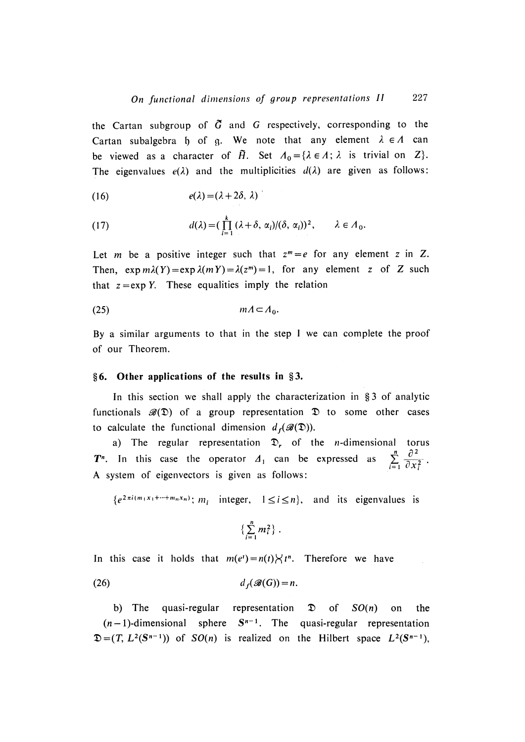the Cartan subgroup of  $\tilde{G}$  and  $G$  respectively, corresponding to the Cartan subalgebra h of q. We note that any element  $\lambda \in A$  can be viewed as a character of  $\tilde{H}$ . Set  $A_0 = {\lambda \in \Lambda; \lambda}$  is trivial on Z. The eigenvalues  $e(\lambda)$  and the multiplicities  $d(\lambda)$  are given as follows:

(16) 
$$
e(\lambda) = (\lambda + 2\delta, \lambda)
$$

(17) 
$$
d(\lambda) = \left(\prod_{i=1}^k (\lambda + \delta, \alpha_i) / (\delta, \alpha_i)\right)^2, \qquad \lambda \in \Lambda_0.
$$

Let m be a positive integer such that  $z^m = e$  for any element *z* in *Z*. Then,  $\exp m\lambda(Y) = \exp \lambda(mY) = \lambda(z^m) = 1$ , for any element *z* of *Z* such that  $z = exp Y$ . These equalities imply the relation

(25) mA A <sup>o</sup> .

By a similar arguments to that in the step  $I$  we can complete the proof of our Theorem.

#### **§ 6 . Other applications of the results in §3.**

In this section we shall apply the characterization in  $§ 3$  of analytic functionals  $\mathscr{B}(\mathfrak{D})$  of a group representation  $\mathfrak D$  to some other cases to calculate the functional dimension  $d_f(\mathscr{B}(\mathfrak{D}))$ .

a) The regular representation  $\mathfrak{D}_r$  of the *n*-dimensional torus **P**<sup>n</sup>. In this case the operator  $\Delta_1$  can be expressed as  $\sum_{i=1}^{\infty} \frac{e}{\partial x_i^2}$ A system of eigenvectors is given as follows:

 ${e^{2\pi i(m_1x_1+\cdots+m_nx_n)}}; m_i$  integer,  $1 \le i \le n$ , and its eigenvalues is

$$
\left\{\sum_{i=1}^n m_i^2\right\}.
$$

In this case it holds that  $m(e^t) = n(t) \times t^n$ . Therefore we have

$$
(26) \t d_f(\mathscr{B}(G)) = n.
$$

b) The quasi-regular representation  $\mathfrak{D}$  of  $SO(n)$  on the  $(n-1)$ -dimensional sphere  $S^{n-1}$ . The quasi-regular representation  $=(T, L^2(S^{n-1}))$  of  $SO(n)$  is realized on the Hilbert space  $L^2(S^{n-1})$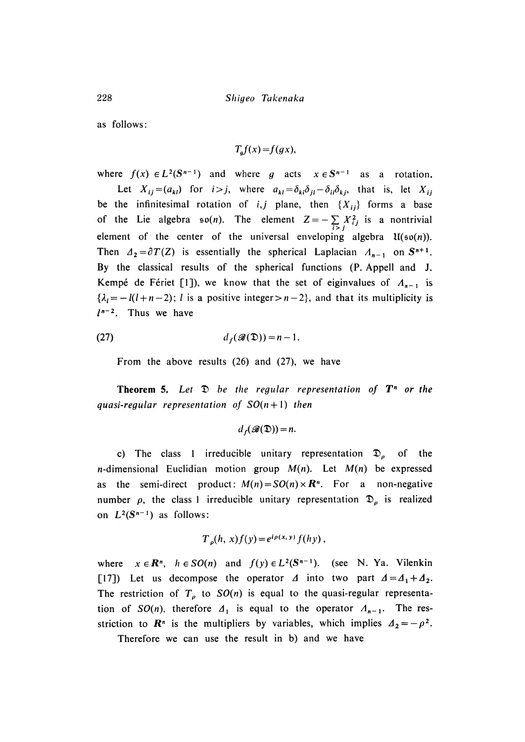as follows:

$$
T_g f(x) = f(gx),
$$

where  $f(x) \in L^2(\mathbb{S}^{n-1})$  and where g acts  $x \in \mathbb{S}^{n-1}$  as a rotation

Let  $X_{ij} = (a_{kl})$  for  $i > j$ , where  $a_{kl} = \delta_{kl} \delta_{il} - \delta_{il} \delta_{kj}$ , that is, let  $X_{ij}$ be the infinitesimal rotation of *i,j* plane, then  $\{X_{ij}\}$  forms a base of the Lie algebra  $\mathfrak{so}(n)$ . The element  $Z = -\sum_{i > j} X_{ij}^2$  is a nontrivial element of the center of the universal enveloping algebra  $\mathfrak{U}(\mathfrak{so}(n))$ . Then  $A_2 = \partial T(Z)$  is essentially the spherical Laplacian  $A_{n-1}$  on  $S^{n+1}$ . By the classical results of the spherical functions (P. Appell and J. Kempé de Fériet [1]), we know that the set of eiginvalues of  $A_{n-1}$  is  ${ \lambda_i = -l(l+n-2)$ ; *l* is a positive integer > *n* - 2}, and that its multiplicity is  $l^{n-2}$ . Thus we have

(27) 
$$
d_f(\mathscr{B}(\mathfrak{D})) = n-1.
$$

From the above results  $(26)$  and  $(27)$ , we have

**Theorem 5.** Let  $\mathcal{D}$  be the regular representation of  $T^n$  or the *guasi-regular representation of*  $SO(n+1)$  *then* 

$$
d_f(\mathcal{B}(\mathfrak{D}))=n.
$$

c) The class 1 irreducible unitary representation  $\mathfrak{D}_{p}$  of the *n*-dimensional Euclidian motion group  $M(n)$ . Let  $M(n)$  be expressed as the semi-direct product:  $M(n) = SO(n) \times \mathbb{R}^n$ . For a non-negative number  $\rho$ , the class 1 irreducible unitary representation  $\mathfrak{D}_{\rho}$  is realized on  $L^2(S^{n-1})$  as follows:

$$
T_{\rho}(h, x)f(y) = e^{i\rho(x, y)} f(hy),
$$

where  $x \in \mathbb{R}^n$ ,  $h \in SO(n)$  and  $f(y) \in L^2(\mathbb{S}^{n-1})$ . (see N. Ya. Vilenking [17]) Let us decompose the operator  $\Delta$  into two part  $\Delta = \Delta_1 + \Delta_2$ . The restriction of  $T_p$  to  $SO(n)$  is equal to the quasi-regular representation of *SO(n)*, therefore  $\Delta_1$  is equal to the operator  $\Delta_{n-1}$ . The resstriction to  $\mathbf{R}^n$  is the multipliers by variables, which implies  $\Delta_2 = -\rho^2$ .

Therefore we can use the result in b) and we have